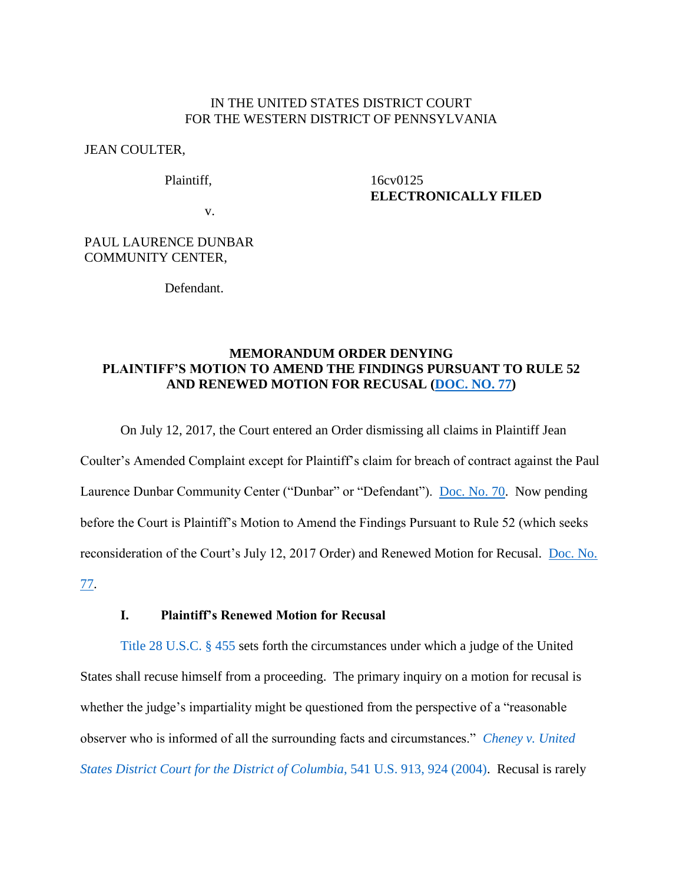### IN THE UNITED STATES DISTRICT COURT FOR THE WESTERN DISTRICT OF PENNSYLVANIA

#### JEAN COULTER,

Plaintiff,

## 16cv0125 **ELECTRONICALLY FILED**

v.

## PAUL LAURENCE DUNBAR COMMUNITY CENTER,

Defendant.

# **MEMORANDUM ORDER DENYING PLAINTIFF'S MOTION TO AMEND THE FINDINGS PURSUANT TO RULE 52 AND RENEWED MOTION FOR RECUSAL [\(DOC. NO. 77\)](https://ecf.pawd.uscourts.gov/doc1/15715821672)**

On July 12, 2017, the Court entered an Order dismissing all claims in Plaintiff Jean Coulter's Amended Complaint except for Plaintiff's claim for breach of contract against the Paul Laurence Dunbar Community Center ("Dunbar" or "Defendant"). [Doc. No. 70.](https://ecf.pawd.uscourts.gov/doc1/15715783216) Now pending before the Court is Plaintiff's Motion to Amend the Findings Pursuant to Rule 52 (which seeks reconsideration of the Court's July 12, 2017 Order) and Renewed Motion for Recusal. [Doc. No.](https://ecf.pawd.uscourts.gov/doc1/15715821672) 

[77.](https://ecf.pawd.uscourts.gov/doc1/15715821672)

## **I. Plaintiff's Renewed Motion for Recusal**

[Title 28 U.S.C. § 455](http://www.westlaw.com/Find/default.wl?rs=kmfn4.8&vr=2.0&kmvr=2.6&FindType=L&DB=1000546&DocName=28USCAS455&kmsource=da3.0) sets forth the circumstances under which a judge of the United States shall recuse himself from a proceeding. The primary inquiry on a motion for recusal is whether the judge's impartiality might be questioned from the perspective of a "reasonable observer who is informed of all the surrounding facts and circumstances." *[Cheney v. United](http://www.westlaw.com/Find/default.wl?rs=kmfn4.8&vr=2.0&kmvr=2.6&FindType=Y&DB=0000780&serialnum=2004229788&kmsource=da3.0)  [States District Court for the District of Columbia](http://www.westlaw.com/Find/default.wl?rs=kmfn4.8&vr=2.0&kmvr=2.6&FindType=Y&DB=0000780&serialnum=2004229788&kmsource=da3.0)*, 541 U.S. 913, 924 (2004). Recusal is rarely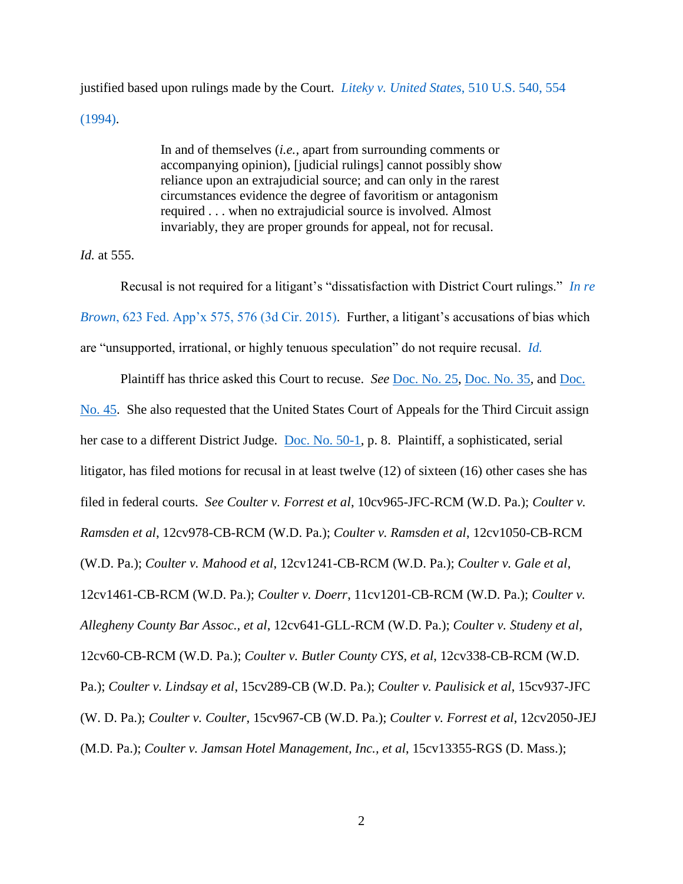justified based upon rulings made by the Court. *[Liteky v. United States](http://www.westlaw.com/Find/default.wl?rs=kmfn4.8&vr=2.0&kmvr=2.6&FindType=Y&DB=0000780&serialnum=1994058306&kmsource=da3.0)*, 510 U.S. 540, 554 [\(1994\).](http://www.westlaw.com/Find/default.wl?rs=kmfn4.8&vr=2.0&kmvr=2.6&FindType=Y&DB=0000780&serialnum=1994058306&kmsource=da3.0)

> In and of themselves (*i.e.,* apart from surrounding comments or accompanying opinion), [judicial rulings] cannot possibly show reliance upon an extrajudicial source; and can only in the rarest circumstances evidence the degree of favoritism or antagonism required . . . when no extrajudicial source is involved. Almost invariably, they are proper grounds for appeal, not for recusal.

*Id.* at 555.

Recusal is not required for a litigant's "dissatisfaction with District Court rulings." *[In re](http://www.westlaw.com/Find/default.wl?rs=kmfn4.8&vr=2.0&kmvr=2.6&FindType=Y&DB=0006538&serialnum=2037736785&kmsource=da3.0)  Brown*[, 623 Fed. App'x 575, 576 \(3d Cir. 2015\).](http://www.westlaw.com/Find/default.wl?rs=kmfn4.8&vr=2.0&kmvr=2.6&FindType=Y&DB=0006538&serialnum=2037736785&kmsource=da3.0) Further, a litigant's accusations of bias which are "unsupported, irrational, or highly tenuous speculation" do not require recusal. *[Id.](http://www.westlaw.com/Find/default.wl?rs=kmfn4.8&vr=2.0&kmvr=2.6&FindType=Y&DB=0006538&serialnum=2037736785&kmsource=da3.0)*

Plaintiff has thrice asked this Court to recuse. *See* [Doc. No. 25,](https://ecf.pawd.uscourts.gov/doc1/15715142499) [Doc. No. 35,](https://ecf.pawd.uscourts.gov/doc1/15715168175) and [Doc.](https://ecf.pawd.uscourts.gov/doc1/15715211936)  [No. 45.](https://ecf.pawd.uscourts.gov/doc1/15715211936) She also requested that the United States Court of Appeals for the Third Circuit assign her case to a different District Judge. [Doc. No. 50-1,](https://ecf.pawd.uscourts.gov/doc1/15715691040) p. 8. Plaintiff, a sophisticated, serial litigator, has filed motions for recusal in at least twelve (12) of sixteen (16) other cases she has filed in federal courts. *See Coulter v. Forrest et al*, 10cv965-JFC-RCM (W.D. Pa.); *Coulter v. Ramsden et al*, 12cv978-CB-RCM (W.D. Pa.); *Coulter v. Ramsden et al*, 12cv1050-CB-RCM (W.D. Pa.); *Coulter v. Mahood et al*, 12cv1241-CB-RCM (W.D. Pa.); *Coulter v. Gale et al*, 12cv1461-CB-RCM (W.D. Pa.); *Coulter v. Doerr*, 11cv1201-CB-RCM (W.D. Pa.); *Coulter v. Allegheny County Bar Assoc., et al*, 12cv641-GLL-RCM (W.D. Pa.); *Coulter v. Studeny et al*, 12cv60-CB-RCM (W.D. Pa.); *Coulter v. Butler County CYS, et al*, 12cv338-CB-RCM (W.D. Pa.); *Coulter v. Lindsay et al*, 15cv289-CB (W.D. Pa.); *Coulter v. Paulisick et al*, 15cv937-JFC (W. D. Pa.); *Coulter v. Coulter*, 15cv967-CB (W.D. Pa.); *Coulter v. Forrest et al*, 12cv2050-JEJ (M.D. Pa.); *Coulter v. Jamsan Hotel Management, Inc., et al*, 15cv13355-RGS (D. Mass.);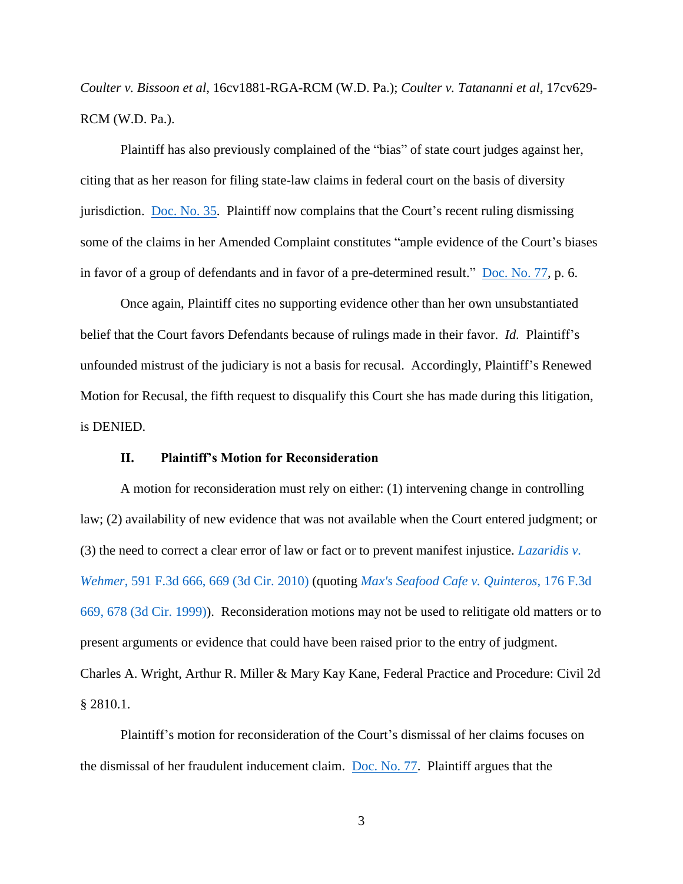*Coulter v. Bissoon et al*, 16cv1881-RGA-RCM (W.D. Pa.); *Coulter v. Tatananni et al*, 17cv629- RCM (W.D. Pa.).

Plaintiff has also previously complained of the "bias" of state court judges against her, citing that as her reason for filing state-law claims in federal court on the basis of diversity jurisdiction. [Doc. No. 35.](https://ecf.pawd.uscourts.gov/doc1/15715168175) Plaintiff now complains that the Court's recent ruling dismissing some of the claims in her Amended Complaint constitutes "ample evidence of the Court's biases in favor of a group of defendants and in favor of a pre-determined result." [Doc. No. 77,](https://ecf.pawd.uscourts.gov/doc1/15715821672) p. 6.

Once again, Plaintiff cites no supporting evidence other than her own unsubstantiated belief that the Court favors Defendants because of rulings made in their favor. *Id.* Plaintiff's unfounded mistrust of the judiciary is not a basis for recusal. Accordingly, Plaintiff's Renewed Motion for Recusal, the fifth request to disqualify this Court she has made during this litigation, is DENIED.

#### **II. Plaintiff's Motion for Reconsideration**

A motion for reconsideration must rely on either: (1) intervening change in controlling law; (2) availability of new evidence that was not available when the Court entered judgment; or (3) the need to correct a clear error of law or fact or to prevent manifest injustice. *[Lazaridis v.](http://www.westlaw.com/Find/default.wl?rs=kmfn4.8&vr=2.0&kmvr=2.6&FindType=Y&DB=0000506&serialnum=2021056970&kmsource=da3.0)  Wehmer*[, 591 F.3d 666, 669 \(3d Cir. 2010\)](http://www.westlaw.com/Find/default.wl?rs=kmfn4.8&vr=2.0&kmvr=2.6&FindType=Y&DB=0000506&serialnum=2021056970&kmsource=da3.0) (quoting *[Max's Seafood Cafe v. Quinteros](http://www.westlaw.com/Find/default.wl?rs=kmfn4.8&vr=2.0&kmvr=2.6&FindType=Y&DB=0000506&serialnum=1999120202&kmsource=da3.0)*, 176 F.3d [669, 678 \(3d Cir. 1999\)\)](http://www.westlaw.com/Find/default.wl?rs=kmfn4.8&vr=2.0&kmvr=2.6&FindType=Y&DB=0000506&serialnum=1999120202&kmsource=da3.0). Reconsideration motions may not be used to relitigate old matters or to present arguments or evidence that could have been raised prior to the entry of judgment. Charles A. Wright, Arthur R. Miller & Mary Kay Kane, Federal Practice and Procedure: Civil 2d § 2810.1.

Plaintiff's motion for reconsideration of the Court's dismissal of her claims focuses on the dismissal of her fraudulent inducement claim. [Doc. No. 77.](https://ecf.pawd.uscourts.gov/doc1/15715821672) Plaintiff argues that the